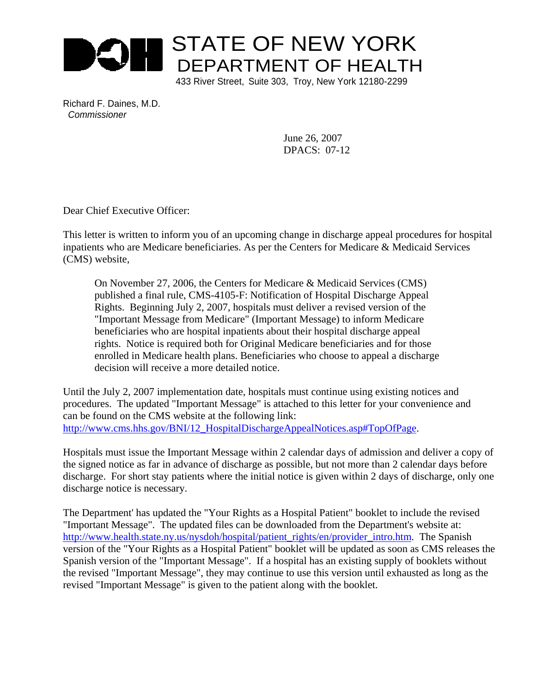

433 River Street, Suite 303, Troy, New York 12180-2299

Richard F. Daines, M.D. *Commissioner*

> June 26, 2007 DPACS: 07-12

Dear Chief Executive Officer:

This letter is written to inform you of an upcoming change in discharge appeal procedures for hospital inpatients who are Medicare beneficiaries. As per the Centers for Medicare & Medicaid Services (CMS) website,

On November 27, 2006, the Centers for Medicare & Medicaid Services (CMS) published a final rule, CMS-4105-F: Notification of Hospital Discharge Appeal Rights. Beginning July 2, 2007, hospitals must deliver a revised version of the "Important Message from Medicare" (Important Message) to inform Medicare beneficiaries who are hospital inpatients about their hospital discharge appeal rights. Notice is required both for Original Medicare beneficiaries and for those enrolled in Medicare health plans. Beneficiaries who choose to appeal a discharge decision will receive a more detailed notice.

Until the July 2, 2007 implementation date, hospitals must continue using existing notices and procedures. The updated "Important Message" is attached to this letter for your convenience and can be found on the CMS website at the following link: http://www.cms.hhs.gov/BNI/12\_HospitalDischargeAppealNotices.asp#TopOfPage.

Hospitals must issue the Important Message within 2 calendar days of admission and deliver a copy of the signed notice as far in advance of discharge as possible, but not more than 2 calendar days before discharge. For short stay patients where the initial notice is given within 2 days of discharge, only one discharge notice is necessary.

The Department' has updated the "Your Rights as a Hospital Patient" booklet to include the revised "Important Message". The updated files can be downloaded from the Department's website at: http://www.health.state.ny.us/nysdoh/hospital/patient\_rights/en/provider\_intro.htm. The Spanish version of the "Your Rights as a Hospital Patient" booklet will be updated as soon as CMS releases the Spanish version of the "Important Message". If a hospital has an existing supply of booklets without the revised "Important Message", they may continue to use this version until exhausted as long as the revised "Important Message" is given to the patient along with the booklet.